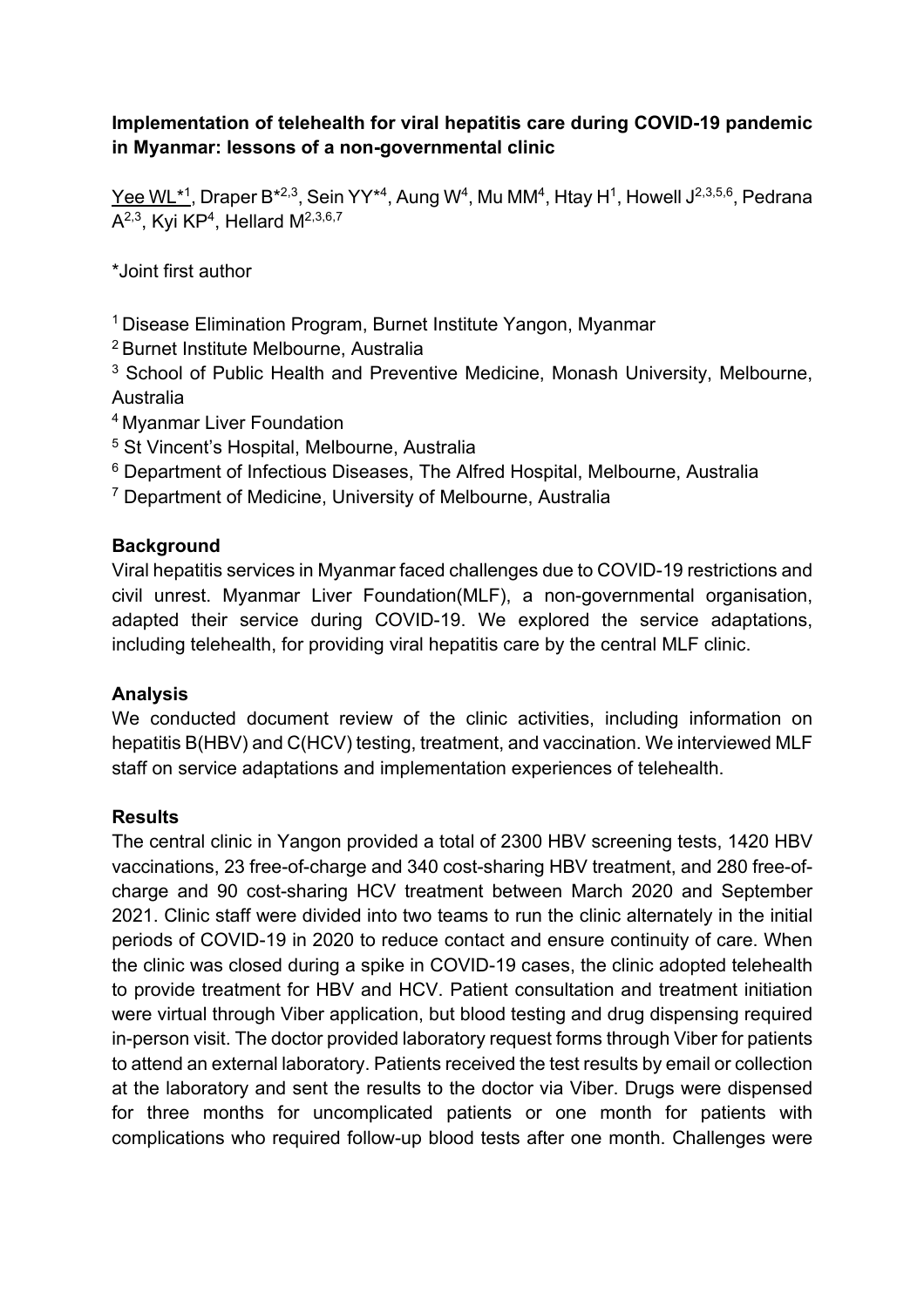## **Implementation of telehealth for viral hepatitis care during COVID-19 pandemic in Myanmar: lessons of a non-governmental clinic**

Yee WL\*1, Draper B\*2,3, Sein YY\*4, Aung W<sup>4</sup>, Mu MM<sup>4</sup>, Htay H<sup>1</sup>, Howell J<sup>2,3,5,6</sup>, Pedrana A<sup>2,3</sup>, Kyi KP<sup>4</sup>, Hellard  $M^{2,3,6,7}$ 

\*Joint first author

<sup>1</sup> Disease Elimination Program, Burnet Institute Yangon, Myanmar

<sup>2</sup> Burnet Institute Melbourne, Australia

<sup>3</sup> School of Public Health and Preventive Medicine, Monash University, Melbourne, Australia

<sup>4</sup> Myanmar Liver Foundation

<sup>5</sup> St Vincent's Hospital, Melbourne, Australia

- <sup>6</sup> Department of Infectious Diseases, The Alfred Hospital, Melbourne, Australia
- <sup>7</sup> Department of Medicine, University of Melbourne, Australia

## **Background**

Viral hepatitis services in Myanmar faced challenges due to COVID-19 restrictions and civil unrest. Myanmar Liver Foundation(MLF), a non-governmental organisation, adapted their service during COVID-19. We explored the service adaptations, including telehealth, for providing viral hepatitis care by the central MLF clinic.

# **Analysis**

We conducted document review of the clinic activities, including information on hepatitis B(HBV) and C(HCV) testing, treatment, and vaccination. We interviewed MLF staff on service adaptations and implementation experiences of telehealth.

# **Results**

The central clinic in Yangon provided a total of 2300 HBV screening tests, 1420 HBV vaccinations, 23 free-of-charge and 340 cost-sharing HBV treatment, and 280 free-ofcharge and 90 cost-sharing HCV treatment between March 2020 and September 2021. Clinic staff were divided into two teams to run the clinic alternately in the initial periods of COVID-19 in 2020 to reduce contact and ensure continuity of care. When the clinic was closed during a spike in COVID-19 cases, the clinic adopted telehealth to provide treatment for HBV and HCV. Patient consultation and treatment initiation were virtual through Viber application, but blood testing and drug dispensing required in-person visit. The doctor provided laboratory request forms through Viber for patients to attend an external laboratory. Patients received the test results by email or collection at the laboratory and sent the results to the doctor via Viber. Drugs were dispensed for three months for uncomplicated patients or one month for patients with complications who required follow-up blood tests after one month. Challenges were